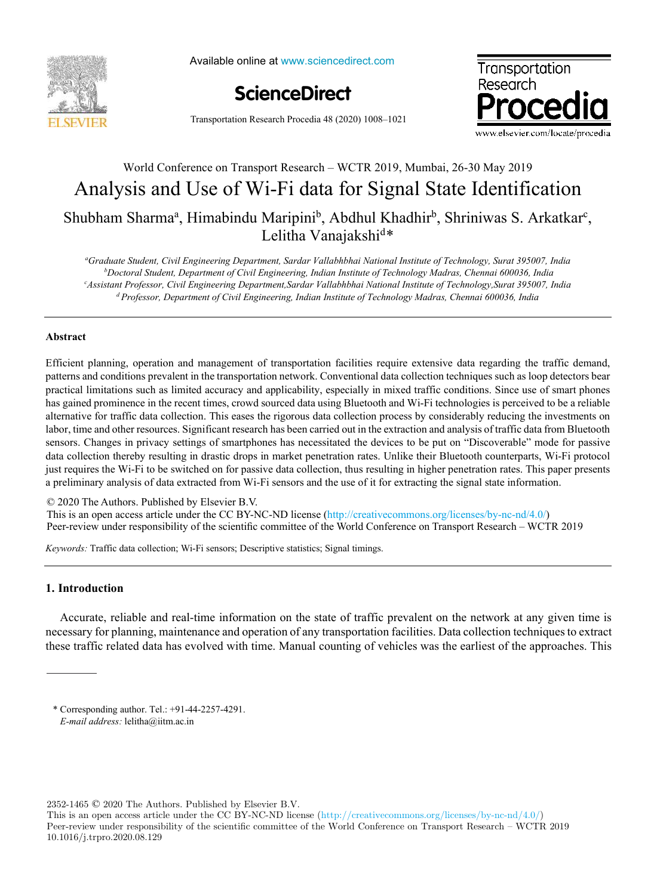

Available online at www.sciencedirect.com





Transportation Research Procedia 48 (2020) 1008–1021

# World Conference on Transport Research – WCTR 2019, Mumbai, 26-30 May 2019 Analysis and Use of Wi-Fi data for Signal State Identification Shubham Sharma<sup>a</sup>, Himabindu Maripini<sup>b</sup>, Abdhul Khadhir<sup>b</sup>, Shriniwas S. Arkatkar<sup>c</sup>, Lelitha Vanajakshi<sup>d\*</sup>

*<sup>a</sup>Graduate Student, Civil Engineering Department, Sardar Vallabhbhai National Institute of Technology, Surat 395007, India <sup>b</sup>Doctoral Student, Department of Civil Engineering, Indian Institute of Technology Madras, Chennai 600036, India <sup>c</sup>Assistant Professor, Civil Engineering Department,Sardar Vallabhbhai National Institute of Technology,Surat 395007, India <sup>d</sup>Professor, Department of Civil Engineering, Indian Institute of Technology Madras, Chennai 600036, India* 

# **Abstract**

Efficient planning, operation and management of transportation facilities require extensive data regarding the traffic demand, patterns and conditions prevalent in the transportation network. Conventional data collection techniques such as loop detectors bear practical limitations such as limited accuracy and applicability, especially in mixed traffic conditions. Since use of smart phones has gained prominence in the recent times, crowd sourced data using Bluetooth and Wi-Fi technologies is perceived to be a reliable alternative for traffic data collection. This eases the rigorous data collection process by considerably reducing the investments on labor, time and other resources. Significant research has been carried out in the extraction and analysis of traffic data from Bluetooth sensors. Changes in privacy settings of smartphones has necessitated the devices to be put on "Discoverable" mode for passive data collection thereby resulting in drastic drops in market penetration rates. Unlike their Bluetooth counterparts, Wi-Fi protocol just requires the Wi-Fi to be switched on for passive data collection, thus resulting in higher penetration rates. This paper presents a preliminary analysis of data extracted from Wi-Fi sensors and the use of it for extracting the signal state information.

© 2020 The Authors. Published by Elsevier B.V. This is an open access article under the CC BY-NC-ND license (http://creativecommons.org/licenses/by-nc-nd/4.0/) Peer-review under responsibility of the scientific committee of the World Conference on Transport Research – WCTR 2019 Peer-review under responsibility of the scientific committee of the World Conference on Transport Research – WCTR 2019

*Keywords:* Traffic data collection; Wi-Fi sensors; Descriptive statistics; Signal timings.

# **1. Introduction**

Accurate, reliable and real-time information on the state of traffic prevalent on the network at any given time is necessary for planning, maintenance and operation of any transportation facilities. Data collection techniques to extract these traffic related data has evolved with time. Manual counting of vehicles was the earliest of the approaches. This

2352-1465 © 2020 The Authors. Published by Elsevier B.V.

This is an open access article under the CC BY-NC-ND license (http://creativecommons.org/licenses/by-nc-nd/4.0/) Peer-review under responsibility of the scientific committee of the World Conference on Transport Research – WCTR 2019 10.1016/j.trpro.2020.08.129

<sup>\*</sup> Corresponding author. Tel.: +91-44-2257-4291. *E-mail address:* lelitha@iitm.ac.in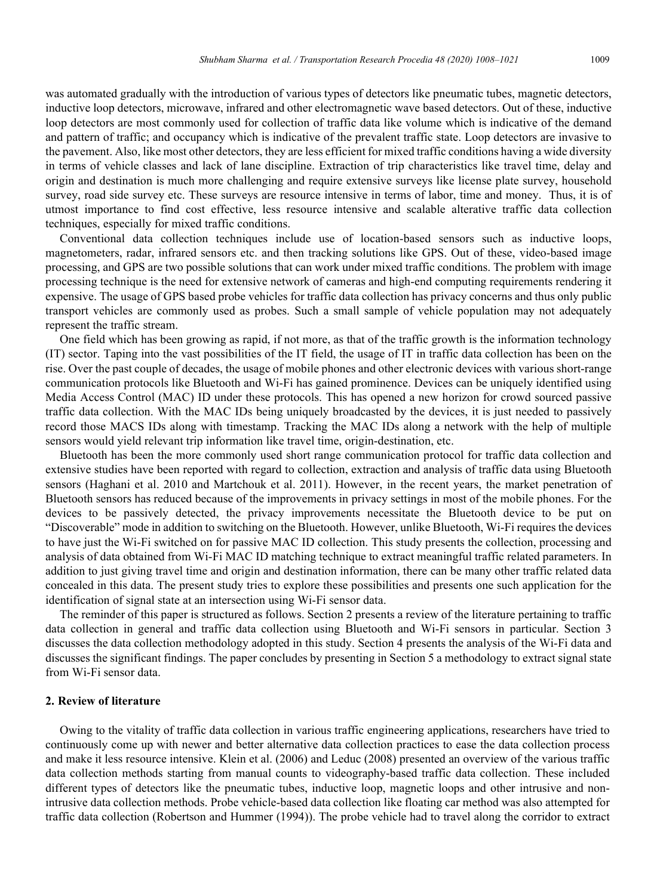was automated gradually with the introduction of various types of detectors like pneumatic tubes, magnetic detectors, inductive loop detectors, microwave, infrared and other electromagnetic wave based detectors. Out of these, inductive loop detectors are most commonly used for collection of traffic data like volume which is indicative of the demand and pattern of traffic; and occupancy which is indicative of the prevalent traffic state. Loop detectors are invasive to the pavement. Also, like most other detectors, they are less efficient for mixed traffic conditions having a wide diversity in terms of vehicle classes and lack of lane discipline. Extraction of trip characteristics like travel time, delay and origin and destination is much more challenging and require extensive surveys like license plate survey, household survey, road side survey etc. These surveys are resource intensive in terms of labor, time and money. Thus, it is of utmost importance to find cost effective, less resource intensive and scalable alterative traffic data collection techniques, especially for mixed traffic conditions.

Conventional data collection techniques include use of location-based sensors such as inductive loops, magnetometers, radar, infrared sensors etc. and then tracking solutions like GPS. Out of these, video-based image processing, and GPS are two possible solutions that can work under mixed traffic conditions. The problem with image processing technique is the need for extensive network of cameras and high-end computing requirements rendering it expensive. The usage of GPS based probe vehicles for traffic data collection has privacy concerns and thus only public transport vehicles are commonly used as probes. Such a small sample of vehicle population may not adequately represent the traffic stream.

One field which has been growing as rapid, if not more, as that of the traffic growth is the information technology (IT) sector. Taping into the vast possibilities of the IT field, the usage of IT in traffic data collection has been on the rise. Over the past couple of decades, the usage of mobile phones and other electronic devices with various short-range communication protocols like Bluetooth and Wi-Fi has gained prominence. Devices can be uniquely identified using Media Access Control (MAC) ID under these protocols. This has opened a new horizon for crowd sourced passive traffic data collection. With the MAC IDs being uniquely broadcasted by the devices, it is just needed to passively record those MACS IDs along with timestamp. Tracking the MAC IDs along a network with the help of multiple sensors would yield relevant trip information like travel time, origin-destination, etc.

Bluetooth has been the more commonly used short range communication protocol for traffic data collection and extensive studies have been reported with regard to collection, extraction and analysis of traffic data using Bluetooth sensors (Haghani et al. 2010 and Martchouk et al. 2011). However, in the recent years, the market penetration of Bluetooth sensors has reduced because of the improvements in privacy settings in most of the mobile phones. For the devices to be passively detected, the privacy improvements necessitate the Bluetooth device to be put on "Discoverable" mode in addition to switching on the Bluetooth. However, unlike Bluetooth, Wi-Fi requires the devices to have just the Wi-Fi switched on for passive MAC ID collection. This study presents the collection, processing and analysis of data obtained from Wi-Fi MAC ID matching technique to extract meaningful traffic related parameters. In addition to just giving travel time and origin and destination information, there can be many other traffic related data concealed in this data. The present study tries to explore these possibilities and presents one such application for the identification of signal state at an intersection using Wi-Fi sensor data.

The reminder of this paper is structured as follows. Section 2 presents a review of the literature pertaining to traffic data collection in general and traffic data collection using Bluetooth and Wi-Fi sensors in particular. Section 3 discusses the data collection methodology adopted in this study. Section 4 presents the analysis of the Wi-Fi data and discusses the significant findings. The paper concludes by presenting in Section 5 a methodology to extract signal state from Wi-Fi sensor data.

# **2. Review of literature**

Owing to the vitality of traffic data collection in various traffic engineering applications, researchers have tried to continuously come up with newer and better alternative data collection practices to ease the data collection process and make it less resource intensive. Klein et al. (2006) and Leduc (2008) presented an overview of the various traffic data collection methods starting from manual counts to videography-based traffic data collection. These included different types of detectors like the pneumatic tubes, inductive loop, magnetic loops and other intrusive and nonintrusive data collection methods. Probe vehicle-based data collection like floating car method was also attempted for traffic data collection (Robertson and Hummer (1994)). The probe vehicle had to travel along the corridor to extract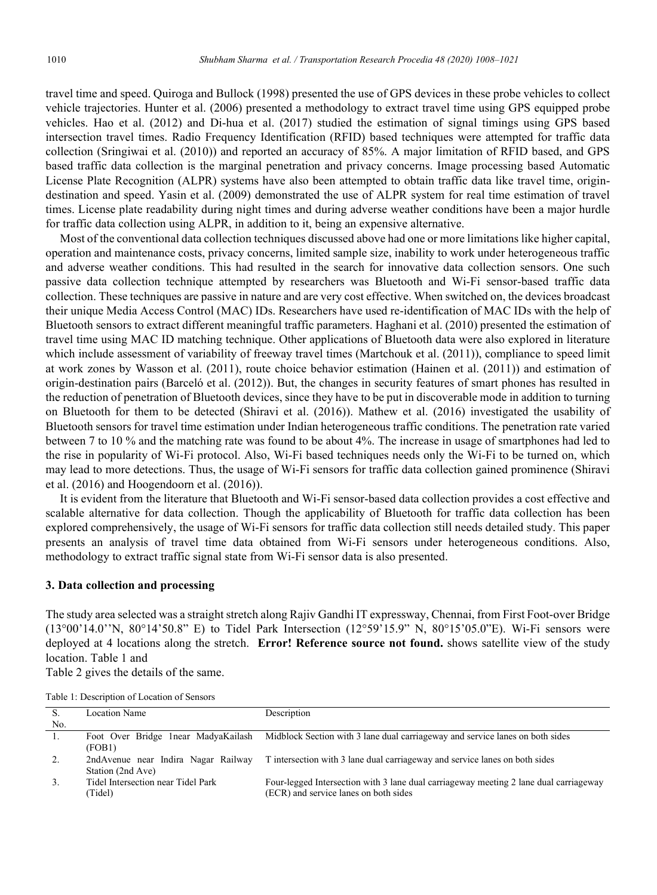travel time and speed. Quiroga and Bullock (1998) presented the use of GPS devices in these probe vehicles to collect vehicle trajectories. Hunter et al. (2006) presented a methodology to extract travel time using GPS equipped probe vehicles. Hao et al. (2012) and Di-hua et al. (2017) studied the estimation of signal timings using GPS based intersection travel times. Radio Frequency Identification (RFID) based techniques were attempted for traffic data collection (Sringiwai et al. (2010)) and reported an accuracy of 85%. A major limitation of RFID based, and GPS based traffic data collection is the marginal penetration and privacy concerns. Image processing based Automatic License Plate Recognition (ALPR) systems have also been attempted to obtain traffic data like travel time, origindestination and speed. Yasin et al. (2009) demonstrated the use of ALPR system for real time estimation of travel times. License plate readability during night times and during adverse weather conditions have been a major hurdle for traffic data collection using ALPR, in addition to it, being an expensive alternative.

Most of the conventional data collection techniques discussed above had one or more limitations like higher capital, operation and maintenance costs, privacy concerns, limited sample size, inability to work under heterogeneous traffic and adverse weather conditions. This had resulted in the search for innovative data collection sensors. One such passive data collection technique attempted by researchers was Bluetooth and Wi-Fi sensor-based traffic data collection. These techniques are passive in nature and are very cost effective. When switched on, the devices broadcast their unique Media Access Control (MAC) IDs. Researchers have used re-identification of MAC IDs with the help of Bluetooth sensors to extract different meaningful traffic parameters. Haghani et al. (2010) presented the estimation of travel time using MAC ID matching technique. Other applications of Bluetooth data were also explored in literature which include assessment of variability of freeway travel times (Martchouk et al. (2011)), compliance to speed limit at work zones by Wasson et al. (2011), route choice behavior estimation (Hainen et al. (2011)) and estimation of origin-destination pairs (Barceló et al. (2012)). But, the changes in security features of smart phones has resulted in the reduction of penetration of Bluetooth devices, since they have to be put in discoverable mode in addition to turning on Bluetooth for them to be detected (Shiravi et al. (2016)). Mathew et al. (2016) investigated the usability of Bluetooth sensors for travel time estimation under Indian heterogeneous traffic conditions. The penetration rate varied between 7 to 10 % and the matching rate was found to be about 4%. The increase in usage of smartphones had led to the rise in popularity of Wi-Fi protocol. Also, Wi-Fi based techniques needs only the Wi-Fi to be turned on, which may lead to more detections. Thus, the usage of Wi-Fi sensors for traffic data collection gained prominence (Shiravi et al. (2016) and Hoogendoorn et al. (2016)).

It is evident from the literature that Bluetooth and Wi-Fi sensor-based data collection provides a cost effective and scalable alternative for data collection. Though the applicability of Bluetooth for traffic data collection has been explored comprehensively, the usage of Wi-Fi sensors for traffic data collection still needs detailed study. This paper presents an analysis of travel time data obtained from Wi-Fi sensors under heterogeneous conditions. Also, methodology to extract traffic signal state from Wi-Fi sensor data is also presented.

# **3. Data collection and processing**

The study area selected was a straight stretch along Rajiv Gandhi IT expressway, Chennai, from First Foot-over Bridge (13°00'14.0''N, 80°14'50.8" E) to Tidel Park Intersection (12°59'15.9" N, 80°15'05.0"E). Wi-Fi sensors were deployed at 4 locations along the stretch. **Error! Reference source not found.** shows satellite view of the study location. Table 1 and

Table 2 gives the details of the same.

| S.  | Location Name                                 | Description                                                                                                                    |
|-----|-----------------------------------------------|--------------------------------------------------------------------------------------------------------------------------------|
| No. |                                               |                                                                                                                                |
| -1. | (FOB1)                                        | Foot Over Bridge 1 near MadyaKailash Midblock Section with 3 lane dual carriageway and service lanes on both sides             |
| 2.  | Station (2nd Ave)                             | 2nd Avenue near Indira Nagar Railway T intersection with 3 lane dual carriageway and service lanes on both sides               |
| 3.  | Tidel Intersection near Tidel Park<br>(Tidel) | Four-legged Intersection with 3 lane dual carriageway meeting 2 lane dual carriageway<br>(ECR) and service lanes on both sides |

Table 1: Description of Location of Sensors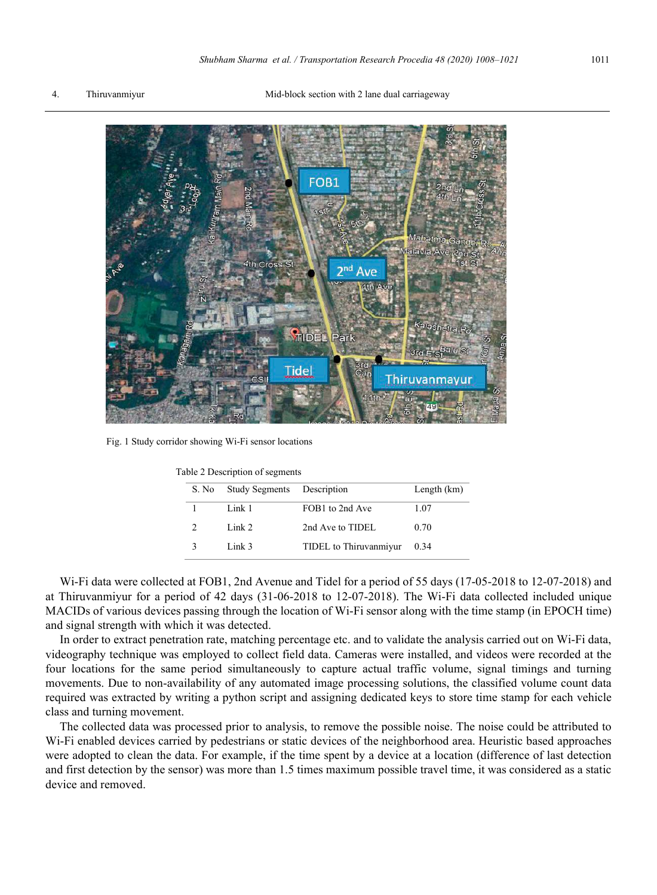#### 4. Thiruvanmiyur Mid-block section with 2 lane dual carriageway



Fig. 1 Study corridor showing Wi-Fi sensor locations

| S. No | Study Segments Description |                             | Length $(km)$ |
|-------|----------------------------|-----------------------------|---------------|
|       | Link <sub>1</sub>          | FOB <sub>1</sub> to 2nd Ave | 1.07          |
|       | Link $2$                   | 2nd Ave to TIDEL            | 0.70          |
|       | Link 3                     | TIDEL to Thiruvanmiyur      | 0.34          |

Table 2 Description of segments

Wi-Fi data were collected at FOB1, 2nd Avenue and Tidel for a period of 55 days (17-05-2018 to 12-07-2018) and at Thiruvanmiyur for a period of 42 days (31-06-2018 to 12-07-2018). The Wi-Fi data collected included unique MACIDs of various devices passing through the location of Wi-Fi sensor along with the time stamp (in EPOCH time) and signal strength with which it was detected.

In order to extract penetration rate, matching percentage etc. and to validate the analysis carried out on Wi-Fi data, videography technique was employed to collect field data. Cameras were installed, and videos were recorded at the four locations for the same period simultaneously to capture actual traffic volume, signal timings and turning movements. Due to non-availability of any automated image processing solutions, the classified volume count data required was extracted by writing a python script and assigning dedicated keys to store time stamp for each vehicle class and turning movement.

The collected data was processed prior to analysis, to remove the possible noise. The noise could be attributed to Wi-Fi enabled devices carried by pedestrians or static devices of the neighborhood area. Heuristic based approaches were adopted to clean the data. For example, if the time spent by a device at a location (difference of last detection and first detection by the sensor) was more than 1.5 times maximum possible travel time, it was considered as a static device and removed.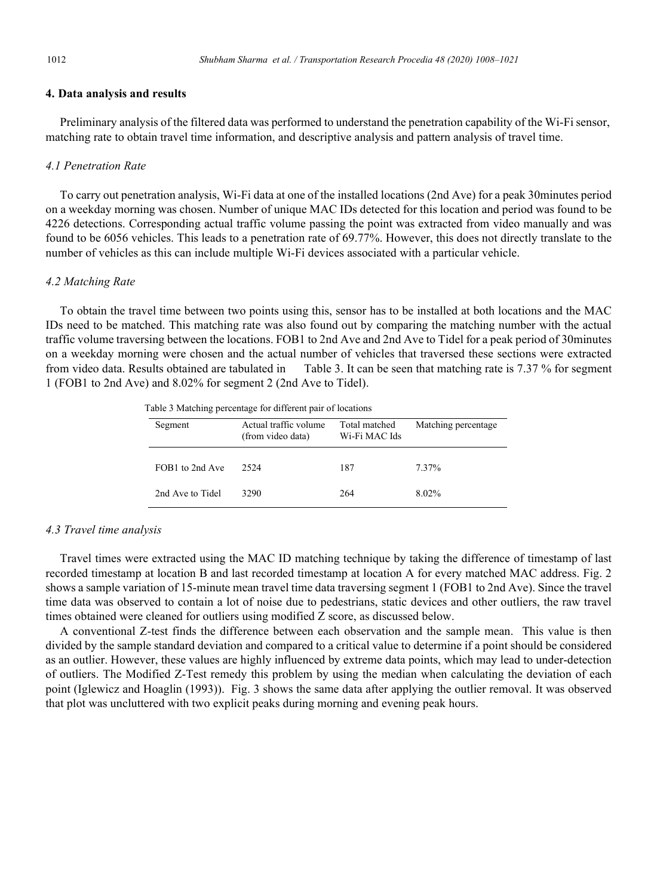### **4. Data analysis and results**

Preliminary analysis of the filtered data was performed to understand the penetration capability of the Wi-Fi sensor, matching rate to obtain travel time information, and descriptive analysis and pattern analysis of travel time.

# *4.1 Penetration Rate*

To carry out penetration analysis, Wi-Fi data at one of the installed locations (2nd Ave) for a peak 30minutes period on a weekday morning was chosen. Number of unique MAC IDs detected for this location and period was found to be 4226 detections. Corresponding actual traffic volume passing the point was extracted from video manually and was found to be 6056 vehicles. This leads to a penetration rate of 69.77%. However, this does not directly translate to the number of vehicles as this can include multiple Wi-Fi devices associated with a particular vehicle.

### *4.2 Matching Rate*

To obtain the travel time between two points using this, sensor has to be installed at both locations and the MAC IDs need to be matched. This matching rate was also found out by comparing the matching number with the actual traffic volume traversing between the locations. FOB1 to 2nd Ave and 2nd Ave to Tidel for a peak period of 30minutes on a weekday morning were chosen and the actual number of vehicles that traversed these sections were extracted from video data. Results obtained are tabulated in Table 3. It can be seen that matching rate is 7.37 % for segment 1 (FOB1 to 2nd Ave) and 8.02% for segment 2 (2nd Ave to Tidel).

Table 3 Matching percentage for different pair of locations

| Segment          | Actual traffic volume<br>(from video data) | Total matched<br>Wi-Fi MAC Ids | Matching percentage |  |  |
|------------------|--------------------------------------------|--------------------------------|---------------------|--|--|
| FOR1 to 2nd Ave  | 2524                                       | 187                            | 7.37%               |  |  |
| 2nd Ave to Tidel | 3290                                       | 264                            | 8.02%               |  |  |

#### *4.3 Travel time analysis*

Travel times were extracted using the MAC ID matching technique by taking the difference of timestamp of last recorded timestamp at location B and last recorded timestamp at location A for every matched MAC address. Fig. 2 shows a sample variation of 15-minute mean travel time data traversing segment 1 (FOB1 to 2nd Ave). Since the travel time data was observed to contain a lot of noise due to pedestrians, static devices and other outliers, the raw travel times obtained were cleaned for outliers using modified Z score, as discussed below.

A conventional Z-test finds the difference between each observation and the sample mean. This value is then divided by the sample standard deviation and compared to a critical value to determine if a point should be considered as an outlier. However, these values are highly influenced by extreme data points, which may lead to under-detection of outliers. The Modified Z-Test remedy this problem by using the median when calculating the deviation of each point (Iglewicz and Hoaglin (1993)). Fig. 3 shows the same data after applying the outlier removal. It was observed that plot was uncluttered with two explicit peaks during morning and evening peak hours.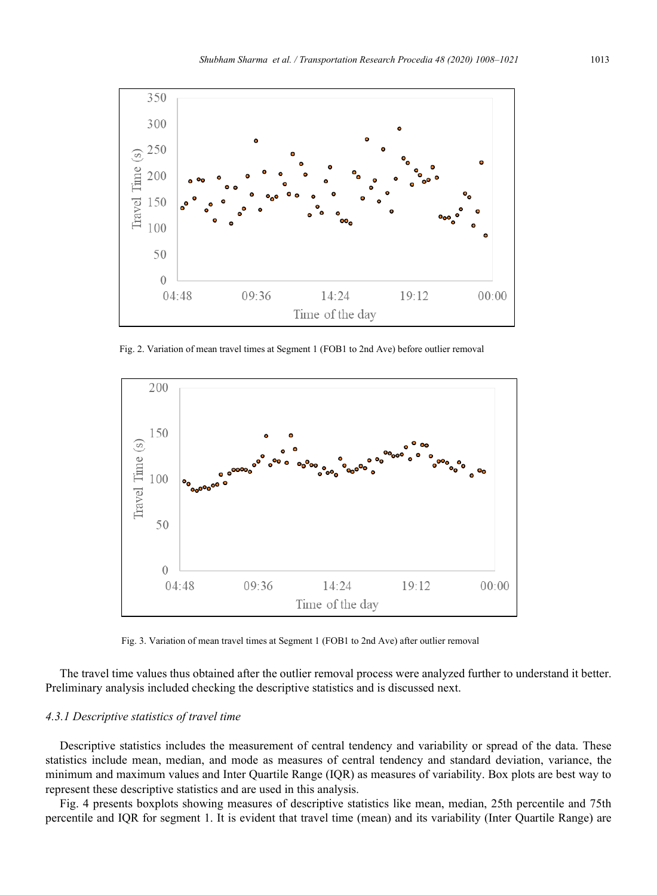

Fig. 2. Variation of mean travel times at Segment 1 (FOB1 to 2nd Ave) before outlier removal



Fig. 3. Variation of mean travel times at Segment 1 (FOB1 to 2nd Ave) after outlier removal

The travel time values thus obtained after the outlier removal process were analyzed further to understand it better. Preliminary analysis included checking the descriptive statistics and is discussed next.

# *4.3.1 Descriptive statistics of travel time*

Descriptive statistics includes the measurement of central tendency and variability or spread of the data. These statistics include mean, median, and mode as measures of central tendency and standard deviation, variance, the minimum and maximum values and Inter Quartile Range (IQR) as measures of variability. Box plots are best way to represent these descriptive statistics and are used in this analysis.

Fig. 4 presents boxplots showing measures of descriptive statistics like mean, median, 25th percentile and 75th percentile and IQR for segment 1. It is evident that travel time (mean) and its variability (Inter Quartile Range) are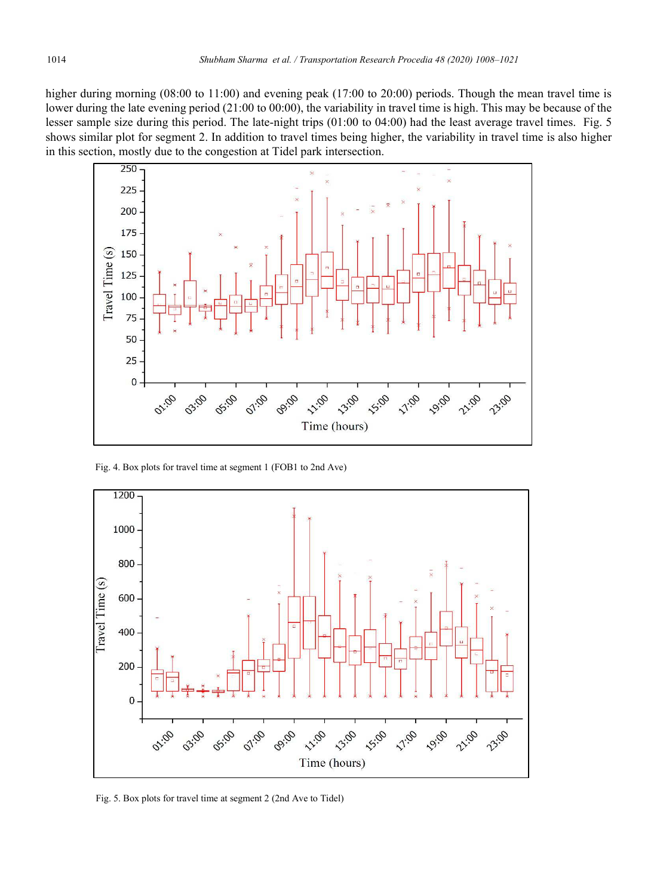higher during morning (08:00 to 11:00) and evening peak (17:00 to 20:00) periods. Though the mean travel time is lower during the late evening period (21:00 to 00:00), the variability in travel time is high. This may be because of the lesser sample size during this period. The late-night trips (01:00 to 04:00) had the least average travel times. Fig. 5 shows similar plot for segment 2. In addition to travel times being higher, the variability in travel time is also higher in this section, mostly due to the congestion at Tidel park intersection.



Fig. 4. Box plots for travel time at segment 1 (FOB1 to 2nd Ave)



Fig. 5. Box plots for travel time at segment 2 (2nd Ave to Tidel)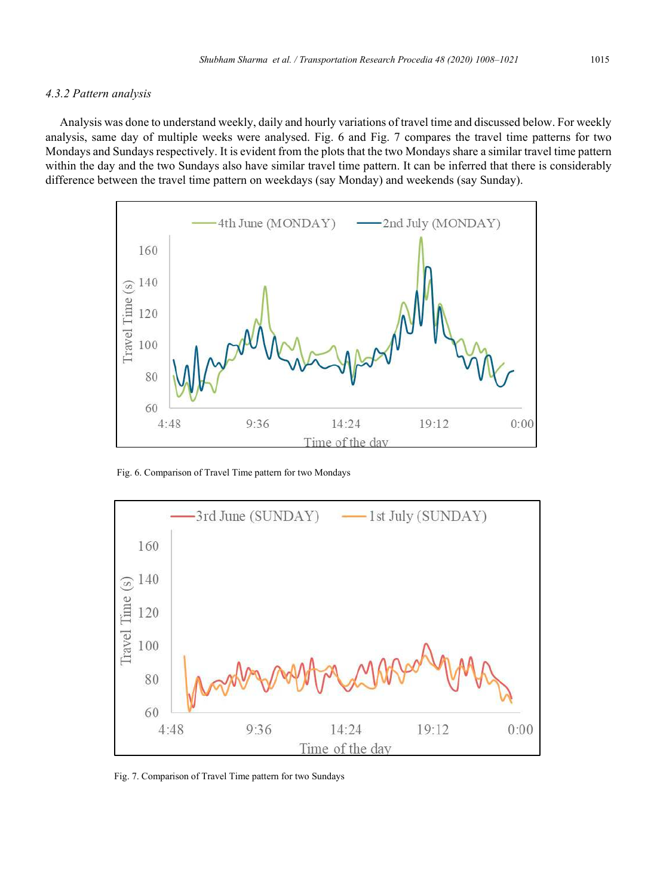# *4.3.2 Pattern analysis*

Analysis was done to understand weekly, daily and hourly variations of travel time and discussed below. For weekly analysis, same day of multiple weeks were analysed. Fig. 6 and Fig. 7 compares the travel time patterns for two Mondays and Sundays respectively. It is evident from the plots that the two Mondays share a similar travel time pattern within the day and the two Sundays also have similar travel time pattern. It can be inferred that there is considerably difference between the travel time pattern on weekdays (say Monday) and weekends (say Sunday).



Fig. 6. Comparison of Travel Time pattern for two Mondays



Fig. 7. Comparison of Travel Time pattern for two Sundays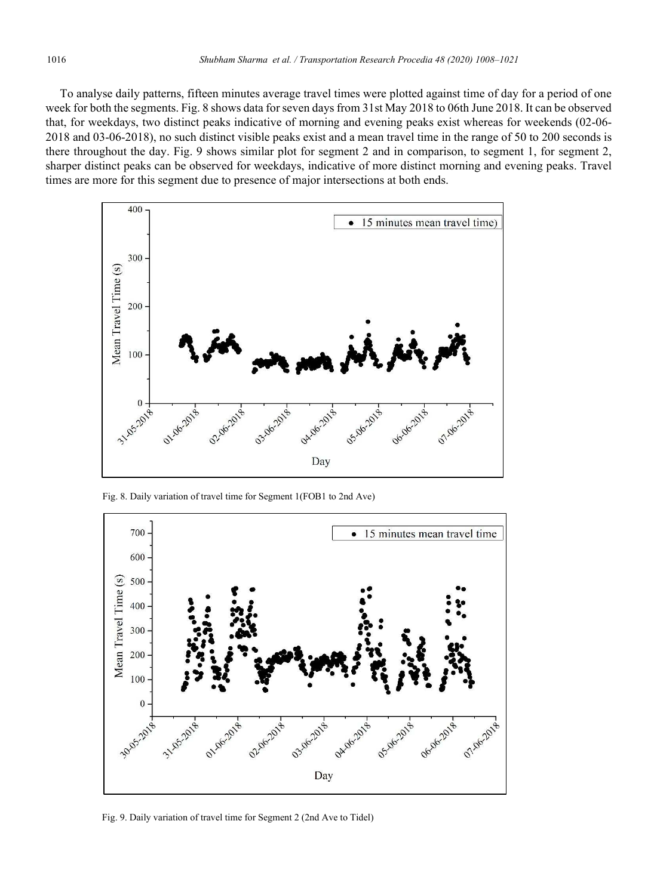To analyse daily patterns, fifteen minutes average travel times were plotted against time of day for a period of one week for both the segments. Fig. 8 shows data for seven days from 31st May 2018 to 06th June 2018. It can be observed that, for weekdays, two distinct peaks indicative of morning and evening peaks exist whereas for weekends (02-06- 2018 and 03-06-2018), no such distinct visible peaks exist and a mean travel time in the range of 50 to 200 seconds is there throughout the day. Fig. 9 shows similar plot for segment 2 and in comparison, to segment 1, for segment 2, sharper distinct peaks can be observed for weekdays, indicative of more distinct morning and evening peaks. Travel times are more for this segment due to presence of major intersections at both ends.



Fig. 8. Daily variation of travel time for Segment 1(FOB1 to 2nd Ave)



Fig. 9. Daily variation of travel time for Segment 2 (2nd Ave to Tidel)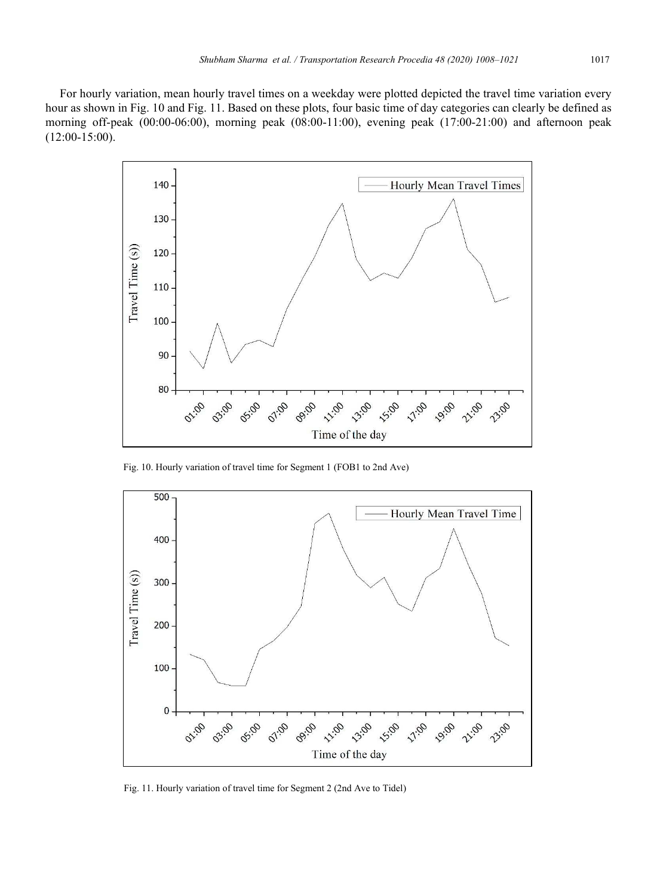For hourly variation, mean hourly travel times on a weekday were plotted depicted the travel time variation every hour as shown in Fig. 10 and Fig. 11. Based on these plots, four basic time of day categories can clearly be defined as morning off-peak (00:00-06:00), morning peak (08:00-11:00), evening peak (17:00-21:00) and afternoon peak (12:00-15:00).



Fig. 10. Hourly variation of travel time for Segment 1 (FOB1 to 2nd Ave)



Fig. 11. Hourly variation of travel time for Segment 2 (2nd Ave to Tidel)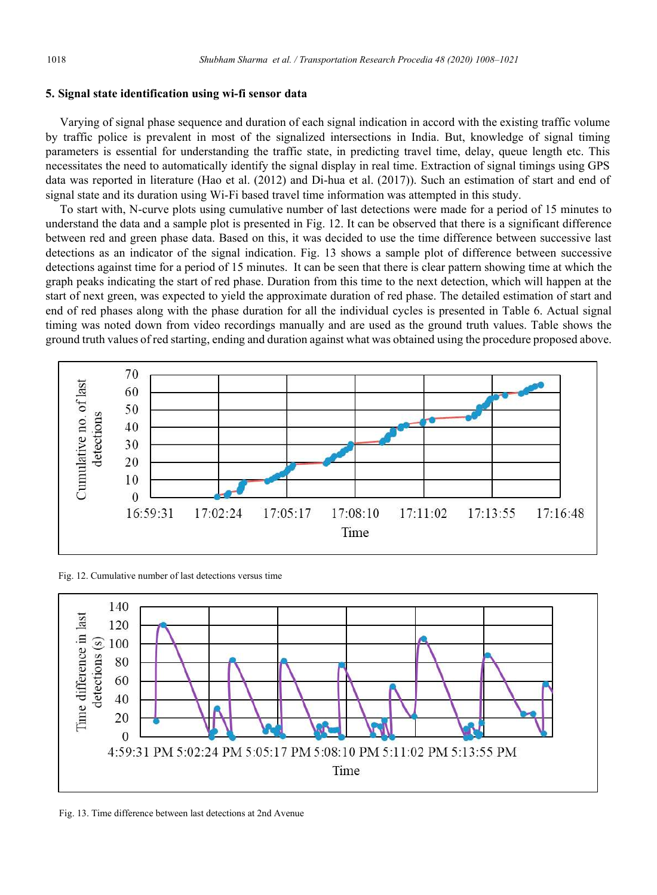# **5. Signal state identification using wi-fi sensor data**

Varying of signal phase sequence and duration of each signal indication in accord with the existing traffic volume by traffic police is prevalent in most of the signalized intersections in India. But, knowledge of signal timing parameters is essential for understanding the traffic state, in predicting travel time, delay, queue length etc. This necessitates the need to automatically identify the signal display in real time. Extraction of signal timings using GPS data was reported in literature (Hao et al. (2012) and Di-hua et al. (2017)). Such an estimation of start and end of signal state and its duration using Wi-Fi based travel time information was attempted in this study.

To start with, N-curve plots using cumulative number of last detections were made for a period of 15 minutes to understand the data and a sample plot is presented in Fig. 12. It can be observed that there is a significant difference between red and green phase data. Based on this, it was decided to use the time difference between successive last detections as an indicator of the signal indication. Fig. 13 shows a sample plot of difference between successive detections against time for a period of 15 minutes. It can be seen that there is clear pattern showing time at which the graph peaks indicating the start of red phase. Duration from this time to the next detection, which will happen at the start of next green, was expected to yield the approximate duration of red phase. The detailed estimation of start and end of red phases along with the phase duration for all the individual cycles is presented in Table 6. Actual signal timing was noted down from video recordings manually and are used as the ground truth values. Table shows the ground truth values of red starting, ending and duration against what was obtained using the procedure proposed above.



Fig. 12. Cumulative number of last detections versus time



Fig. 13. Time difference between last detections at 2nd Avenue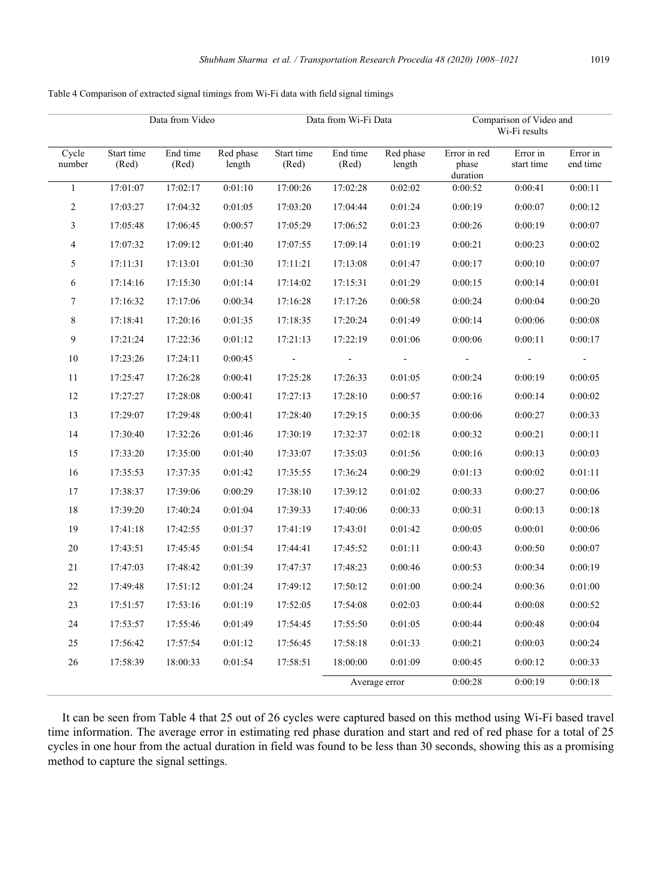| Table 4 Comparison of extracted signal timings from Wi-Fi data with field signal timings |  |  |  |
|------------------------------------------------------------------------------------------|--|--|--|
|                                                                                          |  |  |  |

|                         | Data from Video     |                   | Data from Wi-Fi Data |                     | Comparison of Video and<br>Wi-Fi results |                     |                                   |                        |                          |
|-------------------------|---------------------|-------------------|----------------------|---------------------|------------------------------------------|---------------------|-----------------------------------|------------------------|--------------------------|
| Cycle<br>number         | Start time<br>(Red) | End time<br>(Red) | Red phase<br>length  | Start time<br>(Red) | End time<br>(Red)                        | Red phase<br>length | Error in red<br>phase<br>duration | Error in<br>start time | Error in<br>end time     |
| $\mathbf{1}$            | 17:01:07            | 17:02:17          | 0:01:10              | 17:00:26            | 17:02:28                                 | 0:02:02             | 0:00:52                           | 0:00:41                | 0:00:11                  |
| $\overline{c}$          | 17:03:27            | 17:04:32          | 0:01:05              | 17:03:20            | 17:04:44                                 | 0:01:24             | 0:00:19                           | 0:00:07                | 0:00:12                  |
| 3                       | 17:05:48            | 17:06:45          | 0:00:57              | 17:05:29            | 17:06:52                                 | 0:01:23             | 0:00:26                           | 0:00:19                | 0:00:07                  |
| $\overline{\mathbf{4}}$ | 17:07:32            | 17:09:12          | 0:01:40              | 17:07:55            | 17:09:14                                 | 0:01:19             | 0:00:21                           | 0:00:23                | 0:00:02                  |
| 5                       | 17:11:31            | 17:13:01          | 0:01:30              | 17:11:21            | 17:13:08                                 | 0:01:47             | 0:00:17                           | 0:00:10                | 0:00:07                  |
| $\epsilon$              | 17:14:16            | 17:15:30          | 0:01:14              | 17:14:02            | 17:15:31                                 | 0:01:29             | 0:00:15                           | 0:00:14                | 0:00:01                  |
| $\tau$                  | 17:16:32            | 17:17:06          | 0:00:34              | 17:16:28            | 17:17:26                                 | 0:00:58             | 0:00:24                           | 0:00:04                | 0:00:20                  |
| 8                       | 17:18:41            | 17:20:16          | 0:01:35              | 17:18:35            | 17:20:24                                 | 0:01:49             | 0:00:14                           | 0:00:06                | 0:00:08                  |
| 9                       | 17:21:24            | 17:22:36          | 0:01:12              | 17:21:13            | 17:22:19                                 | 0:01:06             | 0:00:06                           | 0:00:11                | 0:00:17                  |
| $10\,$                  | 17:23:26            | 17:24:11          | 0:00:45              | $\sim$              |                                          |                     | $\bar{\phantom{a}}$               |                        | $\overline{\phantom{a}}$ |
| 11                      | 17:25:47            | 17:26:28          | 0:00:41              | 17:25:28            | 17:26:33                                 | 0:01:05             | 0:00:24                           | 0:00:19                | 0:00:05                  |
| 12                      | 17:27:27            | 17:28:08          | 0:00:41              | 17:27:13            | 17:28:10                                 | 0:00:57             | 0:00:16                           | 0:00:14                | 0:00:02                  |
| 13                      | 17:29:07            | 17:29:48          | 0:00:41              | 17:28:40            | 17:29:15                                 | 0:00:35             | 0:00:06                           | 0:00:27                | 0:00:33                  |
| 14                      | 17:30:40            | 17:32:26          | 0:01:46              | 17:30:19            | 17:32:37                                 | 0:02:18             | 0:00:32                           | 0:00:21                | 0:00:11                  |
| 15                      | 17:33:20            | 17:35:00          | 0:01:40              | 17:33:07            | 17:35:03                                 | 0:01:56             | 0:00:16                           | 0:00:13                | 0:00:03                  |
| 16                      | 17:35:53            | 17:37:35          | 0:01:42              | 17:35:55            | 17:36:24                                 | 0:00:29             | 0:01:13                           | 0:00:02                | 0:01:11                  |
| 17                      | 17:38:37            | 17:39:06          | 0:00:29              | 17:38:10            | 17:39:12                                 | 0:01:02             | 0:00:33                           | 0:00:27                | 0:00:06                  |
| $18\,$                  | 17:39:20            | 17:40:24          | 0:01:04              | 17:39:33            | 17:40:06                                 | 0:00:33             | 0:00:31                           | 0:00:13                | 0:00:18                  |
| 19                      | 17:41:18            | 17:42:55          | 0:01:37              | 17:41:19            | 17:43:01                                 | 0:01:42             | 0:00:05                           | 0:00:01                | 0:00:06                  |
| $20\,$                  | 17:43:51            | 17:45:45          | 0:01:54              | 17:44:41            | 17:45:52                                 | 0:01:11             | 0:00:43                           | 0:00:50                | 0:00:07                  |
| 21                      | 17:47:03            | 17:48:42          | 0:01:39              | 17:47:37            | 17:48:23                                 | 0:00:46             | 0:00:53                           | 0:00:34                | 0:00:19                  |
| 22                      | 17:49:48            | 17:51:12          | 0:01:24              | 17:49:12            | 17:50:12                                 | 0:01:00             | 0:00:24                           | 0:00:36                | 0:01:00                  |
| 23                      | 17:51:57            | 17:53:16          | 0:01:19              | 17:52:05            | 17:54:08                                 | 0:02:03             | 0:00:44                           | 0:00:08                | 0:00:52                  |
| 24                      | 17:53:57            | 17:55:46          | 0:01:49              | 17:54:45            | 17:55:50                                 | 0:01:05             | 0:00:44                           | 0:00:48                | 0:00:04                  |
| $25\,$                  | 17:56:42            | 17:57:54          | 0:01:12              | 17:56:45            | 17:58:18                                 | 0:01:33             | 0:00:21                           | 0:00:03                | 0:00:24                  |
| 26                      | 17:58:39            | 18:00:33          | 0:01:54              | 17:58:51            | 18:00:00                                 | 0:01:09             | 0:00:45                           | 0:00:12                | 0:00:33                  |
|                         |                     |                   |                      |                     |                                          | Average error       | 0:00:28                           | 0:00:19                | 0:00:18                  |

It can be seen from Table 4 that 25 out of 26 cycles were captured based on this method using Wi-Fi based travel time information. The average error in estimating red phase duration and start and red of red phase for a total of 25 cycles in one hour from the actual duration in field was found to be less than 30 seconds, showing this as a promising method to capture the signal settings.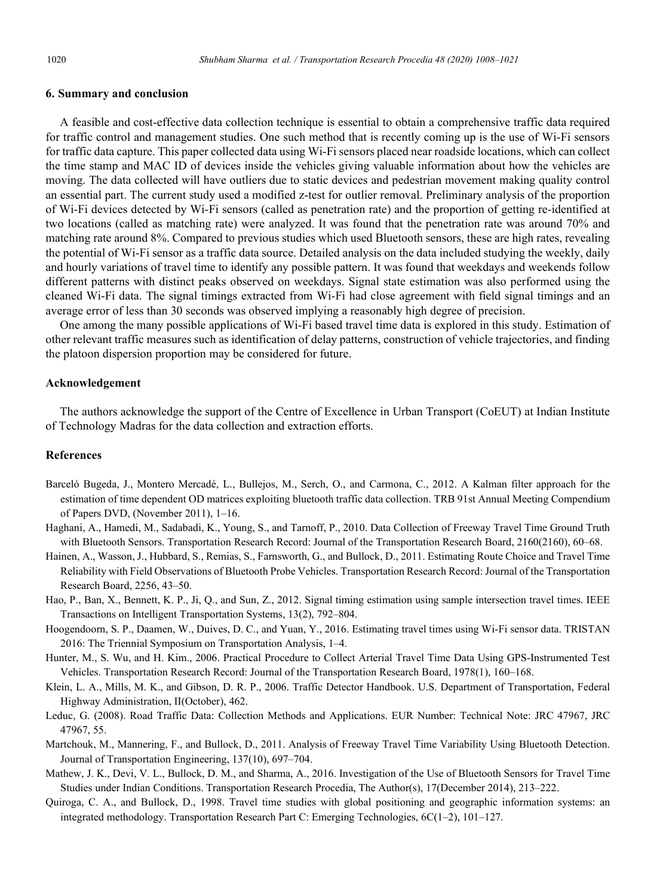### **6. Summary and conclusion**

A feasible and cost-effective data collection technique is essential to obtain a comprehensive traffic data required for traffic control and management studies. One such method that is recently coming up is the use of Wi-Fi sensors for traffic data capture. This paper collected data using Wi-Fi sensors placed near roadside locations, which can collect the time stamp and MAC ID of devices inside the vehicles giving valuable information about how the vehicles are moving. The data collected will have outliers due to static devices and pedestrian movement making quality control an essential part. The current study used a modified z-test for outlier removal. Preliminary analysis of the proportion of Wi-Fi devices detected by Wi-Fi sensors (called as penetration rate) and the proportion of getting re-identified at two locations (called as matching rate) were analyzed. It was found that the penetration rate was around 70% and matching rate around 8%. Compared to previous studies which used Bluetooth sensors, these are high rates, revealing the potential of Wi-Fi sensor as a traffic data source. Detailed analysis on the data included studying the weekly, daily and hourly variations of travel time to identify any possible pattern. It was found that weekdays and weekends follow different patterns with distinct peaks observed on weekdays. Signal state estimation was also performed using the cleaned Wi-Fi data. The signal timings extracted from Wi-Fi had close agreement with field signal timings and an average error of less than 30 seconds was observed implying a reasonably high degree of precision.

One among the many possible applications of Wi-Fi based travel time data is explored in this study. Estimation of other relevant traffic measures such as identification of delay patterns, construction of vehicle trajectories, and finding the platoon dispersion proportion may be considered for future.

# **Acknowledgement**

The authors acknowledge the support of the Centre of Excellence in Urban Transport (CoEUT) at Indian Institute of Technology Madras for the data collection and extraction efforts.

# **References**

- Barceló Bugeda, J., Montero Mercadé, L., Bullejos, M., Serch, O., and Carmona, C., 2012. A Kalman filter approach for the estimation of time dependent OD matrices exploiting bluetooth traffic data collection. TRB 91st Annual Meeting Compendium of Papers DVD, (November 2011), 1–16.
- Haghani, A., Hamedi, M., Sadabadi, K., Young, S., and Tarnoff, P., 2010. Data Collection of Freeway Travel Time Ground Truth with Bluetooth Sensors. Transportation Research Record: Journal of the Transportation Research Board, 2160(2160), 60–68.
- Hainen, A., Wasson, J., Hubbard, S., Remias, S., Farnsworth, G., and Bullock, D., 2011. Estimating Route Choice and Travel Time Reliability with Field Observations of Bluetooth Probe Vehicles. Transportation Research Record: Journal of the Transportation Research Board, 2256, 43–50.
- Hao, P., Ban, X., Bennett, K. P., Ji, Q., and Sun, Z., 2012. Signal timing estimation using sample intersection travel times. IEEE Transactions on Intelligent Transportation Systems, 13(2), 792–804.
- Hoogendoorn, S. P., Daamen, W., Duives, D. C., and Yuan, Y., 2016. Estimating travel times using Wi-Fi sensor data. TRISTAN 2016: The Triennial Symposium on Transportation Analysis, 1–4.
- Hunter, M., S. Wu, and H. Kim., 2006. Practical Procedure to Collect Arterial Travel Time Data Using GPS-Instrumented Test Vehicles. Transportation Research Record: Journal of the Transportation Research Board, 1978(1), 160–168.
- Klein, L. A., Mills, M. K., and Gibson, D. R. P., 2006. Traffic Detector Handbook. U.S. Department of Transportation, Federal Highway Administration, II(October), 462.
- Leduc, G. (2008). Road Traffic Data: Collection Methods and Applications. EUR Number: Technical Note: JRC 47967, JRC 47967, 55.
- Martchouk, M., Mannering, F., and Bullock, D., 2011. Analysis of Freeway Travel Time Variability Using Bluetooth Detection. Journal of Transportation Engineering, 137(10), 697–704.
- Mathew, J. K., Devi, V. L., Bullock, D. M., and Sharma, A., 2016. Investigation of the Use of Bluetooth Sensors for Travel Time Studies under Indian Conditions. Transportation Research Procedia, The Author(s), 17(December 2014), 213–222.
- Quiroga, C. A., and Bullock, D., 1998. Travel time studies with global positioning and geographic information systems: an integrated methodology. Transportation Research Part C: Emerging Technologies, 6C(1–2), 101–127.